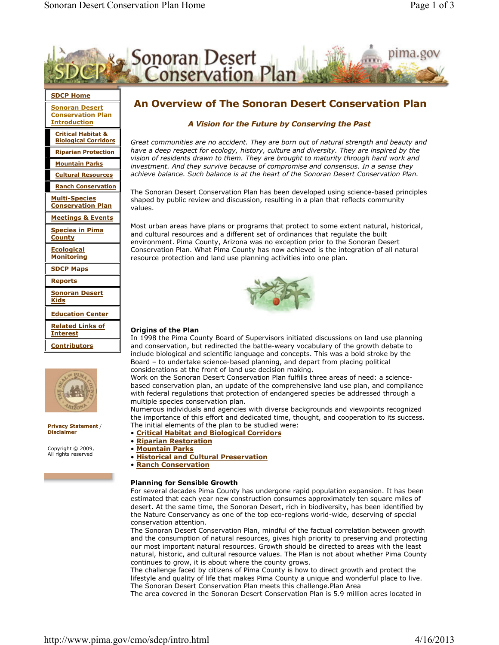



Privacy Statement / **Disclaimer** 

Copyright © 2009, All rights reserved

The Sonoran Desert Conservation Plan has been developed using science-based principles

include biological and scientific language and concepts. This was a bold stroke by the Board – to undertake science-based planning, and depart from placing political considerations at the front of land use decision making.

Work on the Sonoran Desert Conservation Plan fulfills three areas of need: a sciencebased conservation plan, an update of the comprehensive land use plan, and compliance with federal regulations that protection of endangered species be addressed through a multiple species conservation plan.

Numerous individuals and agencies with diverse backgrounds and viewpoints recognized the importance of this effort and dedicated time, thought, and cooperation to its success. The initial elements of the plan to be studied were:

- Critical Habitat and Biological Corridors
- Riparian Restoration
- Mountain Parks
- Historical and Cultural Preservation
- Ranch Conservation

# Planning for Sensible Growth

For several decades Pima County has undergone rapid population expansion. It has been estimated that each year new construction consumes approximately ten square miles of desert. At the same time, the Sonoran Desert, rich in biodiversity, has been identified by the Nature Conservancy as one of the top eco-regions world-wide, deserving of special conservation attention.

The Sonoran Desert Conservation Plan, mindful of the factual correlation between growth and the consumption of natural resources, gives high priority to preserving and protecting our most important natural resources. Growth should be directed to areas with the least natural, historic, and cultural resource values. The Plan is not about whether Pima County continues to grow, it is about where the county grows.

The challenge faced by citizens of Pima County is how to direct growth and protect the lifestyle and quality of life that makes Pima County a unique and wonderful place to live. The Sonoran Desert Conservation Plan meets this challenge.Plan Area

The area covered in the Sonoran Desert Conservation Plan is 5.9 million acres located in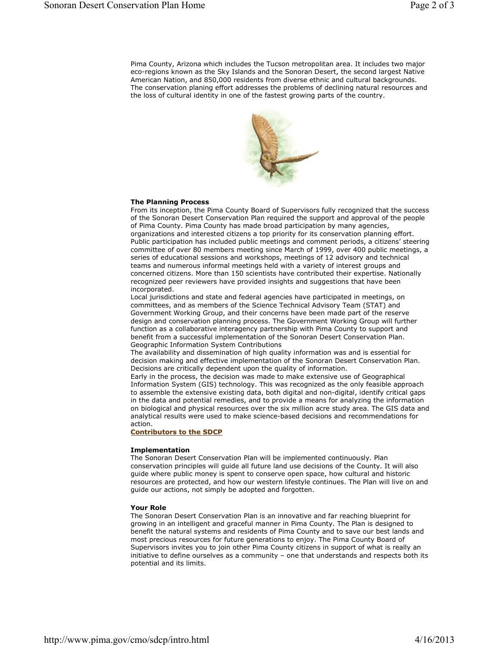Pima County, Arizona which includes the Tucson metropolitan area. It includes two major eco-regions known as the Sky Islands and the Sonoran Desert, the second largest Native American Nation, and 850,000 residents from diverse ethnic and cultural backgrounds. The conservation planing effort addresses the problems of declining natural resources and the loss of cultural identity in one of the fastest growing parts of the country.



## The Planning Process

From its inception, the Pima County Board of Supervisors fully recognized that the success of the Sonoran Desert Conservation Plan required the support and approval of the people of Pima County. Pima County has made broad participation by many agencies, organizations and interested citizens a top priority for its conservation planning effort. Public participation has included public meetings and comment periods, a citizens' steering committee of over 80 members meeting since March of 1999, over 400 public meetings, a series of educational sessions and workshops, meetings of 12 advisory and technical teams and numerous informal meetings held with a variety of interest groups and concerned citizens. More than 150 scientists have contributed their expertise. Nationally recognized peer reviewers have provided insights and suggestions that have been incorporated.

Local jurisdictions and state and federal agencies have participated in meetings, on committees, and as members of the Science Technical Advisory Team (STAT) and Government Working Group, and their concerns have been made part of the reserve design and conservation planning process. The Government Working Group will further function as a collaborative interagency partnership with Pima County to support and benefit from a successful implementation of the Sonoran Desert Conservation Plan. Geographic Information System Contributions

The availability and dissemination of high quality information was and is essential for decision making and effective implementation of the Sonoran Desert Conservation Plan. Decisions are critically dependent upon the quality of information.

Early in the process, the decision was made to make extensive use of Geographical Information System (GIS) technology. This was recognized as the only feasible approach to assemble the extensive existing data, both digital and non-digital, identify critical gaps in the data and potential remedies, and to provide a means for analyzing the information on biological and physical resources over the six million acre study area. The GIS data and analytical results were used to make science-based decisions and recommendations for action.

Contributors to the SDCP

# Implementation

The Sonoran Desert Conservation Plan will be implemented continuously. Plan conservation principles will guide all future land use decisions of the County. It will also guide where public money is spent to conserve open space, how cultural and historic resources are protected, and how our western lifestyle continues. The Plan will live on and guide our actions, not simply be adopted and forgotten.

### Your Role

The Sonoran Desert Conservation Plan is an innovative and far reaching blueprint for growing in an intelligent and graceful manner in Pima County. The Plan is designed to benefit the natural systems and residents of Pima County and to save our best lands and most precious resources for future generations to enjoy. The Pima County Board of Supervisors invites you to join other Pima County citizens in support of what is really an initiative to define ourselves as a community – one that understands and respects both its potential and its limits.